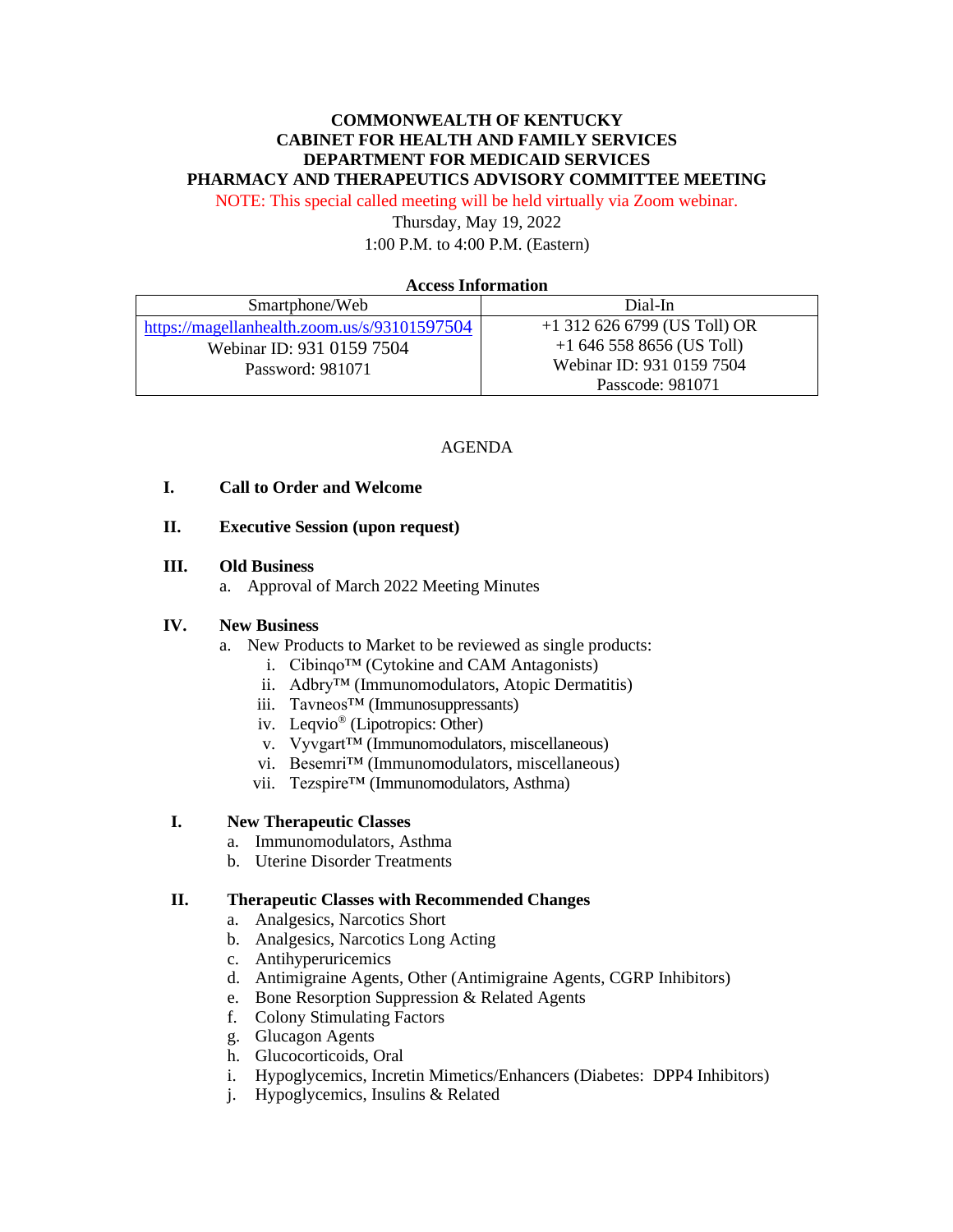# **COMMONWEALTH OF KENTUCKY CABINET FOR HEALTH AND FAMILY SERVICES DEPARTMENT FOR MEDICAID SERVICES PHARMACY AND THERAPEUTICS ADVISORY COMMITTEE MEETING**

NOTE: This special called meeting will be held virtually via Zoom webinar.

Thursday, May 19, 2022 1:00 P.M. to 4:00 P.M. (Eastern)

#### **Access Information**

| Smartphone/Web                               | Dial-In                        |
|----------------------------------------------|--------------------------------|
| https://magellanhealth.zoom.us/s/93101597504 | $+1$ 312 626 6799 (US Toll) OR |
| Webinar ID: 931 0159 7504                    | $+16465588656$ (US Toll)       |
| Password: 981071                             | Webinar ID: 931 0159 7504      |
|                                              | Passcode: 981071               |

#### AGENDA

## **I. Call to Order and Welcome**

### **II. Executive Session (upon request)**

#### **III. Old Business**

a. Approval of March 2022 Meeting Minutes

#### **IV. New Business**

- a. New Products to Market to be reviewed as single products:
	- i. Cibingo<sup>™</sup> (Cytokine and CAM Antagonists)
	- ii. Adbry™ (Immunomodulators, Atopic Dermatitis)
	- iii. Tavneos™ (Immunosuppressants)
	- iv. Leqvio® (Lipotropics: Other)
	- v. Vyvgart™ (Immunomodulators, miscellaneous)
	- vi. Besemri™ (Immunomodulators, miscellaneous)
	- vii. Tezspire™ (Immunomodulators, Asthma)

## **I. New Therapeutic Classes**

- a. Immunomodulators, Asthma
- b. Uterine Disorder Treatments

#### **II. Therapeutic Classes with Recommended Changes**

- a. Analgesics, Narcotics Short
- b. Analgesics, Narcotics Long Acting
- c. Antihyperuricemics
- d. Antimigraine Agents, Other (Antimigraine Agents, CGRP Inhibitors)
- e. Bone Resorption Suppression & Related Agents
- f. Colony Stimulating Factors
- g. Glucagon Agents
- h. Glucocorticoids, Oral
- i. Hypoglycemics, Incretin Mimetics/Enhancers (Diabetes: DPP4 Inhibitors)
- j. Hypoglycemics, Insulins & Related